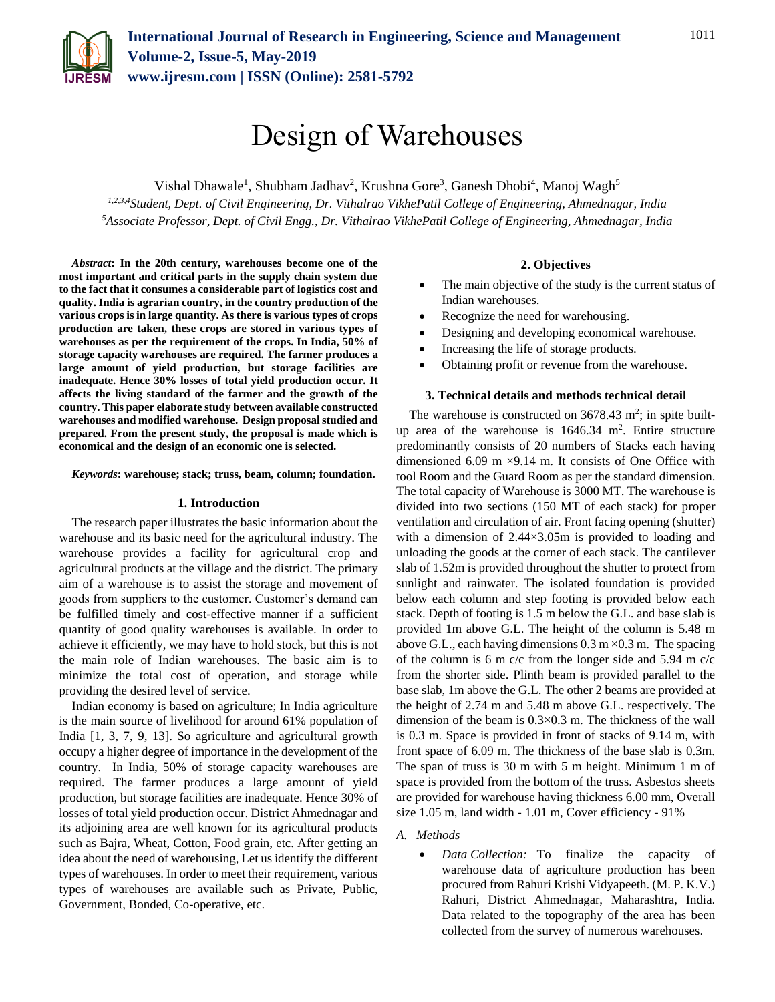

# Design of Warehouses

Vishal Dhawale<sup>1</sup>, Shubham Jadhav<sup>2</sup>, Krushna Gore<sup>3</sup>, Ganesh Dhobi<sup>4</sup>, Manoj Wagh<sup>5</sup> *1,2,3,4Student, Dept. of Civil Engineering, Dr. Vithalrao VikhePatil College of Engineering, Ahmednagar, India 5Associate Professor, Dept. of Civil Engg., Dr. Vithalrao VikhePatil College of Engineering, Ahmednagar, India*

*Abstract***: In the 20th century, warehouses become one of the most important and critical parts in the supply chain system due to the fact that it consumes a considerable part of logistics cost and quality. India is agrarian country, in the country production of the various crops is in large quantity. As there is various types of crops production are taken, these crops are stored in various types of warehouses as per the requirement of the crops. In India, 50% of storage capacity warehouses are required. The farmer produces a large amount of yield production, but storage facilities are inadequate. Hence 30% losses of total yield production occur. It affects the living standard of the farmer and the growth of the country. This paper elaborate study between available constructed warehouses and modified warehouse. Design proposal studied and prepared. From the present study, the proposal is made which is economical and the design of an economic one is selected.** 

*Keywords***: warehouse; stack; truss, beam, column; foundation.**

### **1. Introduction**

The research paper illustrates the basic information about the warehouse and its basic need for the agricultural industry. The warehouse provides a facility for agricultural crop and agricultural products at the village and the district. The primary aim of a warehouse is to assist the storage and movement of goods from suppliers to the customer. Customer's demand can be fulfilled timely and cost-effective manner if a sufficient quantity of good quality warehouses is available. In order to achieve it efficiently, we may have to hold stock, but this is not the main role of Indian warehouses. The basic aim is to minimize the total cost of operation, and storage while providing the desired level of service.

Indian economy is based on agriculture; In India agriculture is the main source of livelihood for around 61% population of India [1, 3, 7, 9, 13]. So agriculture and agricultural growth occupy a higher degree of importance in the development of the country. In India, 50% of storage capacity warehouses are required. The farmer produces a large amount of yield production, but storage facilities are inadequate. Hence 30% of losses of total yield production occur. District Ahmednagar and its adjoining area are well known for its agricultural products such as Bajra, Wheat, Cotton, Food grain, etc. After getting an idea about the need of warehousing, Let us identify the different types of warehouses. In order to meet their requirement, various types of warehouses are available such as Private, Public, Government, Bonded, Co-operative, etc.

## **2. Objectives**

- The main objective of the study is the current status of Indian warehouses.
- Recognize the need for warehousing.
- Designing and developing economical warehouse.
- Increasing the life of storage products.
- Obtaining profit or revenue from the warehouse.

## **3. Technical details and methods technical detail**

The warehouse is constructed on  $3678.43$  m<sup>2</sup>; in spite builtup area of the warehouse is  $1646.34 \text{ m}^2$ . Entire structure predominantly consists of 20 numbers of Stacks each having dimensioned 6.09 m  $\times$ 9.14 m. It consists of One Office with tool Room and the Guard Room as per the standard dimension. The total capacity of Warehouse is 3000 MT. The warehouse is divided into two sections (150 MT of each stack) for proper ventilation and circulation of air. Front facing opening (shutter) with a dimension of 2.44×3.05m is provided to loading and unloading the goods at the corner of each stack. The cantilever slab of 1.52m is provided throughout the shutter to protect from sunlight and rainwater. The isolated foundation is provided below each column and step footing is provided below each stack. Depth of footing is 1.5 m below the G.L. and base slab is provided 1m above G.L. The height of the column is 5.48 m above G.L., each having dimensions  $0.3 \text{ m} \times 0.3 \text{ m}$ . The spacing of the column is 6 m c/c from the longer side and 5.94 m c/c from the shorter side. Plinth beam is provided parallel to the base slab, 1m above the G.L. The other 2 beams are provided at the height of 2.74 m and 5.48 m above G.L. respectively. The dimension of the beam is 0.3×0.3 m. The thickness of the wall is 0.3 m. Space is provided in front of stacks of 9.14 m, with front space of 6.09 m. The thickness of the base slab is 0.3m. The span of truss is 30 m with 5 m height. Minimum 1 m of space is provided from the bottom of the truss. Asbestos sheets are provided for warehouse having thickness 6.00 mm, Overall size 1.05 m, land width - 1.01 m, Cover efficiency - 91%

## *A. Methods*

 *Data Collection:* To finalize the capacity of warehouse data of agriculture production has been procured from Rahuri Krishi Vidyapeeth. (M. P. K.V.) Rahuri, District Ahmednagar, Maharashtra, India. Data related to the topography of the area has been collected from the survey of numerous warehouses.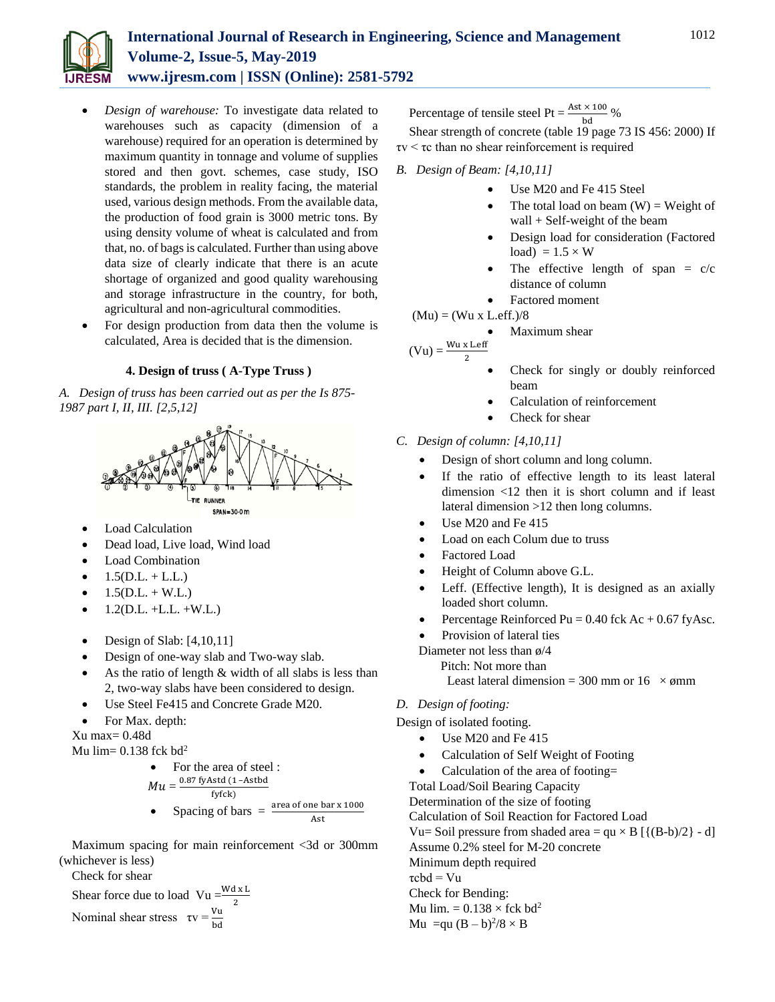

- *Design of warehouse:* To investigate data related to warehouses such as capacity (dimension of a warehouse) required for an operation is determined by maximum quantity in tonnage and volume of supplies stored and then govt. schemes, case study, ISO standards, the problem in reality facing, the material used, various design methods. From the available data, the production of food grain is 3000 metric tons. By using density volume of wheat is calculated and from that, no. of bags is calculated. Further than using above data size of clearly indicate that there is an acute shortage of organized and good quality warehousing and storage infrastructure in the country, for both, agricultural and non-agricultural commodities.
- For design production from data then the volume is calculated, Area is decided that is the dimension.

## **4. Design of truss ( A-Type Truss )**

*A. Design of truss has been carried out as per the Is 875- 1987 part I, II, III. [2,5,12]*



- Load Calculation
- Dead load, Live load, Wind load
- Load Combination
- $1.5(D.L. + L.L.)$
- $1.5(D.L. + W.L.)$
- $\bullet$  1.2(D.L. +L.L. +W.L.)
- Design of Slab: [4,10,11]
- Design of one-way slab and Two-way slab.
- As the ratio of length  $&$  width of all slabs is less than 2, two-way slabs have been considered to design.
- Use Steel Fe415 and Concrete Grade M20.
- For Max. depth:

Xu max= 0.48d

Mu lim=  $0.138$  fck bd<sup>2</sup>

\n- For the area of steel : 
$$
Mu = \frac{0.87 \text{ fyAstd} (1 - \text{Astbd}}{\text{ fyfck})}
$$
\n- Spacing of bars =  $\frac{\text{area of one bar x 1000}}{\text{Ast}}$
\n

Maximum spacing for main reinforcement <3d or 300mm (whichever is less)

Check for shear

Shear force due to load 
$$
Vu = \frac{Wdx L}{2}
$$
  
Nominal shear stress  $\tau v = \frac{Vu}{bd}$ 

Percentage of tensile steel Pt =  $\frac{\text{Ast} \times 100}{\text{bd}}$  %

Shear strength of concrete (table 19 page 73 IS 456: 2000) If τv < τc than no shear reinforcement is required

- *B. Design of Beam: [4,10,11]*
	- Use M20 and Fe 415 Steel
	- The total load on beam  $(W)$  = Weight of wall + Self-weight of the beam
	- Design load for consideration (Factored load) =  $1.5 \times W$
	- The effective length of span =  $c/c$ distance of column
	- Factored moment

 $(Mu) = (Wu \times L.$ eff. $)/8$ 

Maximum shear

 $(Vu) = \frac{Wu \times \text{Left}}{2}$ 

- Check for singly or doubly reinforced beam
- Calculation of reinforcement
- Check for shear
- *C. Design of column: [4,10,11]*
	- Design of short column and long column.
	- If the ratio of effective length to its least lateral dimension <12 then it is short column and if least lateral dimension >12 then long columns.
	- Use M20 and Fe 415
	- Load on each Colum due to truss
	- Factored Load
	- Height of Column above G.L.
	- Leff. (Effective length), It is designed as an axially loaded short column.
	- Percentage Reinforced Pu =  $0.40$  fck Ac +  $0.67$  fyAsc.
	- Provision of lateral ties

Diameter not less than ø/4

Pitch: Not more than

Least lateral dimension = 300 mm or 16  $\times$  ømm

*D. Design of footing:*

Design of isolated footing.

- Use M20 and Fe 415
- Calculation of Self Weight of Footing
- Calculation of the area of footing=

Total Load/Soil Bearing Capacity Determination of the size of footing Calculation of Soil Reaction for Factored Load Vu= Soil pressure from shaded area =  $qu \times B$  [ ${(B-b)/2} - d$ ] Assume 0.2% steel for M-20 concrete Minimum depth required  $\tau$ cbd = Vu Check for Bending: Mu lim.  $= 0.138 \times$  fck bd<sup>2</sup> Mu = qu $(B - b)^2/8 \times B$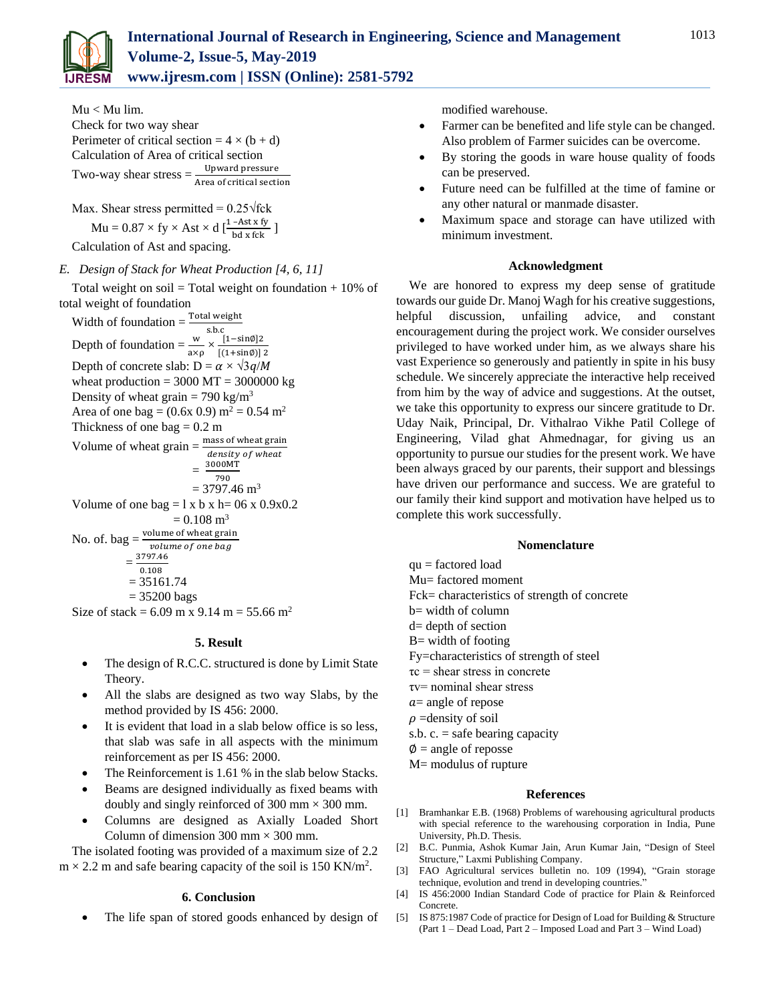

**www.ijresm.com | ISSN (Online): 2581-5792** 

Mu < Mu lim. Check for two way shear Perimeter of critical section =  $4 \times (b + d)$ Calculation of Area of critical section Two-way shear stress  $=\frac{Upward pressure}{Area of critical section}$ 

Max. Shear stress permitted =  $0.25\sqrt{\text{fck}}$  $\text{Mu} = 0.87 \times \text{fy} \times \text{Ast} \times \text{d} \left[ \frac{1-\text{Ast} \times \text{fy}}{\text{bd} \times \text{fck}} \right]$ 

Calculation of Ast and spacing.

# *E. Design of Stack for Wheat Production [4, 6, 11]*

Total weight on soil = Total weight on foundation  $+10\%$  of total weight of foundation

Width of foundation =  $\frac{\text{Total weight}}{\text{s.b.c}}$ <br>Depth of foundation =  $\frac{w}{a \times p} \times \frac{[1-\sin\theta]^2}{[(1+\sin\theta)]}$  $[(1+sin\phi)]$  2 Depth of concrete slab:  $D = \alpha \times \sqrt{3g/M}$ wheat production  $= 3000 \text{ MT} = 3000000 \text{ kg}$ Density of wheat grain = 790 kg/m<sup>3</sup> Area of one bag =  $(0.6x\,0.9)$  m<sup>2</sup> = 0.54 m<sup>2</sup> Thickness of one bag  $= 0.2$  m Volume of wheat grain  $=$   $\frac{\text{mass of wheat grain}}{\text{cos}$ density of wheat  $=$   $=$ 3000MT 790  $= 3797.46$  m<sup>3</sup> Volume of one bag =  $1 \times b \times h = 06 \times 0.9 \times 0.2$  $= 0.108$  m<sup>3</sup> No. of. bag  $=$   $\frac{\text{volume of wheat grain}}{\text{volume of weight}}$ volume of one bag  $=\frac{3797.46}{0.100}$ 0.108

 $= 35200$  bags Size of stack =  $6.09$  m x  $9.14$  m =  $55.66$  m<sup>2</sup>

 $= 35161.74$ 

## **5. Result**

- The design of R.C.C. structured is done by Limit State Theory.
- All the slabs are designed as two way Slabs, by the method provided by IS 456: 2000.
- It is evident that load in a slab below office is so less, that slab was safe in all aspects with the minimum reinforcement as per IS 456: 2000.
- The Reinforcement is 1.61 % in the slab below Stacks.
- Beams are designed individually as fixed beams with doubly and singly reinforced of 300 mm  $\times$  300 mm.
- Columns are designed as Axially Loaded Short Column of dimension 300 mm  $\times$  300 mm.

The isolated footing was provided of a maximum size of 2.2  $m \times 2.2$  m and safe bearing capacity of the soil is 150 KN/m<sup>2</sup>.

## **6. Conclusion**

The life span of stored goods enhanced by design of

modified warehouse.

- Farmer can be benefited and life style can be changed. Also problem of Farmer suicides can be overcome.
- By storing the goods in ware house quality of foods can be preserved.
- Future need can be fulfilled at the time of famine or any other natural or manmade disaster.
- Maximum space and storage can have utilized with minimum investment.

## **Acknowledgment**

We are honored to express my deep sense of gratitude towards our guide Dr. Manoj Wagh for his creative suggestions, helpful discussion, unfailing advice, and constant encouragement during the project work. We consider ourselves privileged to have worked under him, as we always share his vast Experience so generously and patiently in spite in his busy schedule. We sincerely appreciate the interactive help received from him by the way of advice and suggestions. At the outset, we take this opportunity to express our sincere gratitude to Dr. Uday Naik, Principal, Dr. Vithalrao Vikhe Patil College of Engineering, Vilad ghat Ahmednagar, for giving us an opportunity to pursue our studies for the present work. We have been always graced by our parents, their support and blessings have driven our performance and success. We are grateful to our family their kind support and motivation have helped us to complete this work successfully.

## **Nomenclature**

- qu = factored load
- Mu= factored moment
- Fck= characteristics of strength of concrete
- b= width of column
- d= depth of section
- $B=$  width of footing
- Fy=characteristics of strength of steel
- $\tau_c$  = shear stress in concrete
- τv= nominal shear stress
- $a$ = angle of repose
- $\rho$  =density of soil
- s.b.  $c =$  safe bearing capacity
- $\varnothing$  = angle of reposse
- M= modulus of rupture

#### **References**

- [1] Bramhankar E.B. (1968) Problems of warehousing agricultural products with special reference to the warehousing corporation in India, Pune University, Ph.D. Thesis.
- [2] B.C. Punmia, Ashok Kumar Jain, Arun Kumar Jain, "Design of Steel Structure," Laxmi Publishing Company.
- [3] FAO Agricultural services bulletin no. 109 (1994), "Grain storage technique, evolution and trend in developing countries."
- [4] IS 456:2000 Indian Standard Code of practice for Plain & Reinforced Concrete.
- [5] IS 875:1987 Code of practice for Design of Load for Building & Structure (Part 1 – Dead Load, Part 2 – Imposed Load and Part 3 – Wind Load)